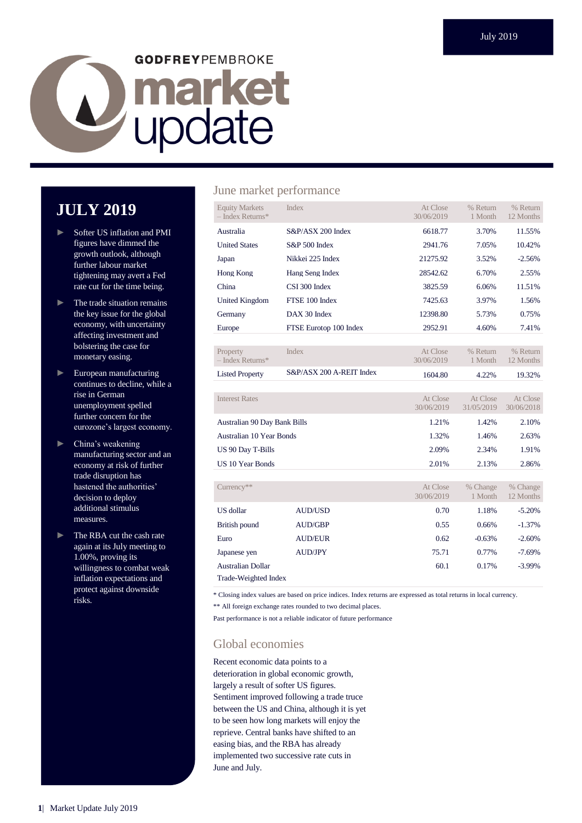# **GODFREYPEMBROKE** Lupdate

# **JULY 2019**

- ► Softer US inflation and PMI figures have dimmed the growth outlook, although further labour market tightening may avert a Fed rate cut for the time being.
- ► The trade situation remains the key issue for the global economy, with uncertainty affecting investment and bolstering the case for monetary easing.
- ► European manufacturing continues to decline, while a rise in German unemployment spelled further concern for the eurozone's largest economy.
- ► China's weakening manufacturing sector and an economy at risk of further trade disruption has hastened the authorities' decision to deploy additional stimulus measures.
- ► The RBA cut the cash rate again at its July meeting to 1.00%, proving its willingness to combat weak inflation expectations and protect against downside risks.

#### June market performance

| <b>Equity Markets</b><br>$-$ Index Returns* | <b>Index</b>             | At Close<br>30/06/2019 | % Return<br>1 Month    | % Return<br>12 Months  |
|---------------------------------------------|--------------------------|------------------------|------------------------|------------------------|
| Australia                                   | S&P/ASX 200 Index        | 6618.77                | 3.70%                  | 11.55%                 |
| <b>United States</b>                        | <b>S&amp;P 500 Index</b> | 2941.76                | 7.05%                  | 10.42%                 |
| Japan                                       | Nikkei 225 Index         | 21275.92               | 3.52%                  | $-2.56%$               |
| Hong Kong                                   | Hang Seng Index          | 28542.62               | 6.70%                  | 2.55%                  |
| China                                       | CSI 300 Index            | 3825.59                | 6.06%                  | 11.51%                 |
| <b>United Kingdom</b>                       | FTSE 100 Index           | 7425.63                | 3.97%                  | 1.56%                  |
| Germany                                     | DAX 30 Index             | 12398.80               | 5.73%                  | 0.75%                  |
| Europe                                      | FTSE Eurotop 100 Index   | 2952.91                | 4.60%                  | 7.41%                  |
|                                             |                          |                        |                        |                        |
| Property<br>$-$ Index Returns*              | <b>Index</b>             | At Close<br>30/06/2019 | % Return<br>1 Month    | % Return<br>12 Months  |
| <b>Listed Property</b>                      | S&P/ASX 200 A-REIT Index | 1604.80                | 4.22%                  | 19.32%                 |
|                                             |                          |                        |                        |                        |
| <b>Interest Rates</b>                       |                          | At Close<br>30/06/2019 | At Close<br>31/05/2019 | At Close<br>30/06/2018 |
| Australian 90 Day Bank Bills                |                          | 1.21%                  | 1.42%                  | 2.10%                  |
| <b>Australian 10 Year Bonds</b>             |                          | 1.32%                  | 1.46%                  | 2.63%                  |
| US 90 Day T-Bills                           |                          | 2.09%                  | 2.34%                  | 1.91%                  |
| <b>US 10 Year Bonds</b>                     |                          | 2.01%                  | 2.13%                  | 2.86%                  |
|                                             |                          |                        |                        |                        |
| Currency**                                  |                          | At Close<br>30/06/2019 | % Change<br>1 Month    | % Change<br>12 Months  |
| US dollar                                   | <b>AUD/USD</b>           | 0.70                   | 1.18%                  | $-5.20%$               |
| British pound                               | <b>AUD/GBP</b>           | 0.55                   | 0.66%                  | $-1.37%$               |
| Euro                                        | <b>AUD/EUR</b>           | 0.62                   | $-0.63%$               | $-2.60%$               |
| Japanese yen                                | <b>AUD/JPY</b>           | 75.71                  | 0.77%                  | $-7.69%$               |
|                                             |                          |                        |                        |                        |

Trade-Weighted Index

\* Closing index values are based on price indices. Index returns are expressed as total returns in local currency.

\*\* All foreign exchange rates rounded to two decimal places.

Past performance is not a reliable indicator of future performance

#### Global economies

Recent economic data points to a deterioration in global economic growth, largely a result of softer US figures. Sentiment improved following a trade truce between the US and China, although it is yet to be seen how long markets will enjoy the reprieve. Central banks have shifted to an easing bias, and the RBA has already implemented two successive rate cuts in June and July.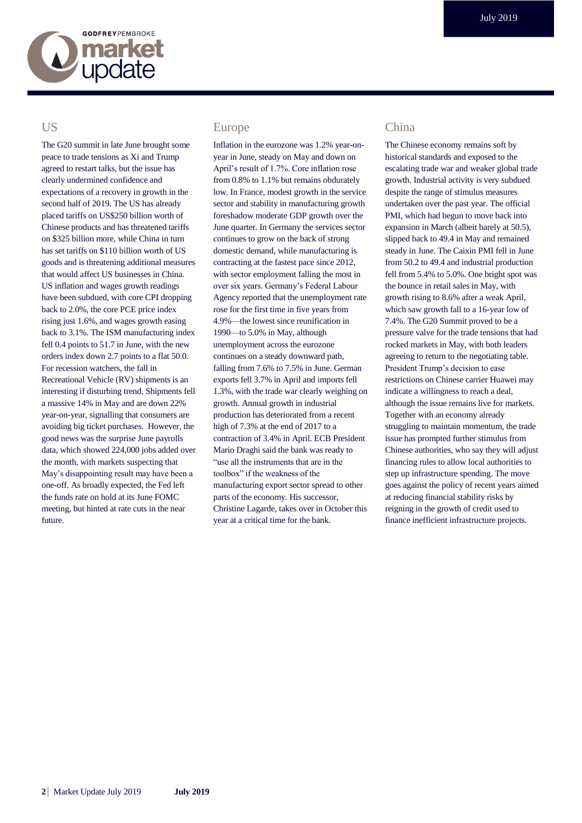

#### **US**

The G20 summit in late June brought some peace to trade tensions as Xi and Trump agreed to restart talks, but the issue has clearly undermined confidence and expectations of a recovery in growth in the second half of 2019. The US has already placed tariffs on US\$250 billion worth of Chinese products and has threatened tariffs on \$325 billion more, while China in turn has set tariffs on \$110 billion worth of US goods and is threatening additional measures that would affect US businesses in China. US inflation and wages growth readings have been subdued, with core CPI dropping back to 2.0%, the core PCE price index rising just 1.6%, and wages growth easing back to 3.1%. The ISM manufacturing index fell 0.4 points to 51.7 in June, with the new orders index down 2.7 points to a flat 50.0. For recession watchers, the fall in Recreational Vehicle (RV) shipments is an interesting if disturbing trend. Shipments fell a massive 14% in May and are down 22% year-on-year, signalling that consumers are avoiding big ticket purchases. However, the good news was the surprise June payrolls data, which showed 224,000 jobs added over the month, with markets suspecting that May's disappointing result may have been a one-off. As broadly expected, the Fed left the funds rate on hold at its June FOMC meeting, but hinted at rate cuts in the near future.

#### Europe

Inflation in the eurozone was 1.2% year-onyear in June, steady on May and down on April's result of 1.7%. Core inflation rose from 0.8% to 1.1% but remains obdurately low. In France, modest growth in the service sector and stability in manufacturing growth foreshadow moderate GDP growth over the June quarter. In Germany the services sector continues to grow on the back of strong domestic demand, while manufacturing is contracting at the fastest pace since 2012, with sector employment falling the most in over six years. Germany's Federal Labour Agency reported that the unemployment rate rose for the first time in five years from 4.9%—the lowest since reunification in 1990—to 5.0% in May, although unemployment across the eurozone continues on a steady downward path, falling from 7.6% to 7.5% in June. German exports fell 3.7% in April and imports fell 1.3%, with the trade war clearly weighing on growth. Annual growth in industrial production has deteriorated from a recent high of 7.3% at the end of 2017 to a contraction of 3.4% in April. ECB President Mario Draghi said the bank was ready to "use all the instruments that are in the toolbox" if the weakness of the manufacturing export sector spread to other parts of the economy. His successor, Christine Lagarde, takes over in October this year at a critical time for the bank.

#### China

The Chinese economy remains soft by historical standards and exposed to the escalating trade war and weaker global trade growth. Industrial activity is very subdued despite the range of stimulus measures undertaken over the past year. The official PMI, which had begun to move back into expansion in March (albeit barely at 50.5), slipped back to 49.4 in May and remained steady in June. The Caixin PMI fell in June from 50.2 to 49.4 and industrial production fell from 5.4% to 5.0%. One bright spot was the bounce in retail sales in May, with growth rising to 8.6% after a weak April, which saw growth fall to a 16-year low of 7.4%. The G20 Summit proved to be a pressure valve for the trade tensions that had rocked markets in May, with both leaders agreeing to return to the negotiating table. President Trump's decision to ease restrictions on Chinese carrier Huawei may indicate a willingness to reach a deal, although the issue remains live for markets. Together with an economy already struggling to maintain momentum, the trade issue has prompted further stimulus from Chinese authorities, who say they will adjust financing rules to allow local authorities to step up infrastructure spending. The move goes against the policy of recent years aimed at reducing financial stability risks by reigning in the growth of credit used to finance inefficient infrastructure projects.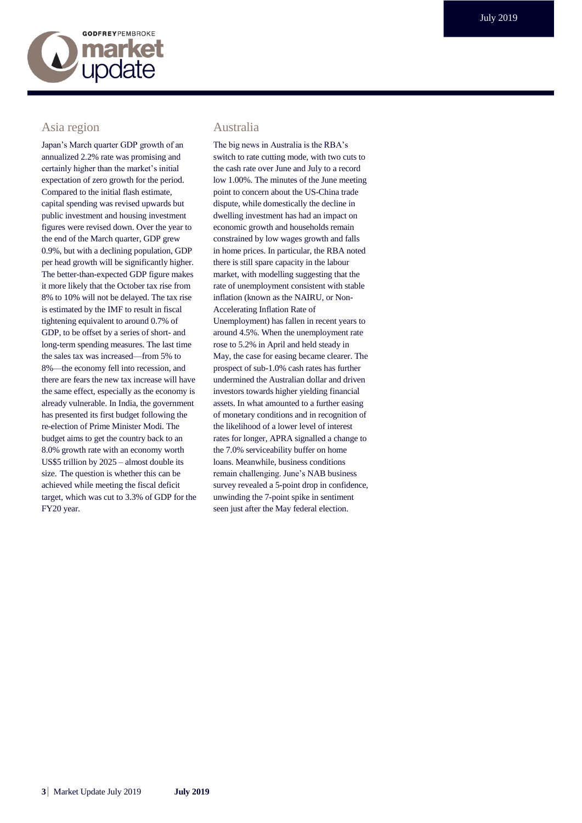

### Asia region

Japan's March quarter GDP growth of an annualized 2.2% rate was promising and certainly higher than the market's initial expectation of zero growth for the period. Compared to the initial flash estimate, capital spending was revised upwards but public investment and housing investment figures were revised down. Over the year to the end of the March quarter, GDP grew 0.9%, but with a declining population, GDP per head growth will be significantly higher. The better-than-expected GDP figure makes it more likely that the October tax rise from 8% to 10% will not be delayed. The tax rise is estimated by the IMF to result in fiscal tightening equivalent to around 0.7% of GDP, to be offset by a series of short- and long-term spending measures. The last time the sales tax was increased—from 5% to 8%—the economy fell into recession, and there are fears the new tax increase will have the same effect, especially as the economy is already vulnerable. In India, the government has presented its first budget following the re-election of Prime Minister Modi. The budget aims to get the country back to an 8.0% growth rate with an economy worth US\$5 trillion by 2025 – almost double its size. The question is whether this can be achieved while meeting the fiscal deficit target, which was cut to 3.3% of GDP for the FY20 year.

#### Australia

The big news in Australia is the RBA's switch to rate cutting mode, with two cuts to the cash rate over June and July to a record low 1.00%. The minutes of the June meeting point to concern about the US-China trade dispute, while domestically the decline in dwelling investment has had an impact on economic growth and households remain constrained by low wages growth and falls in home prices. In particular, the RBA noted there is still spare capacity in the labour market, with modelling suggesting that the rate of unemployment consistent with stable inflation (known as the NAIRU, or Non-Accelerating Inflation Rate of Unemployment) has fallen in recent years to around 4.5%. When the unemployment rate rose to 5.2% in April and held steady in May, the case for easing became clearer. The prospect of sub-1.0% cash rates has further undermined the Australian dollar and driven investors towards higher yielding financial assets. In what amounted to a further easing of monetary conditions and in recognition of the likelihood of a lower level of interest rates for longer, APRA signalled a change to the 7.0% serviceability buffer on home loans. Meanwhile, business conditions remain challenging. June's NAB business survey revealed a 5-point drop in confidence, unwinding the 7-point spike in sentiment seen just after the May federal election.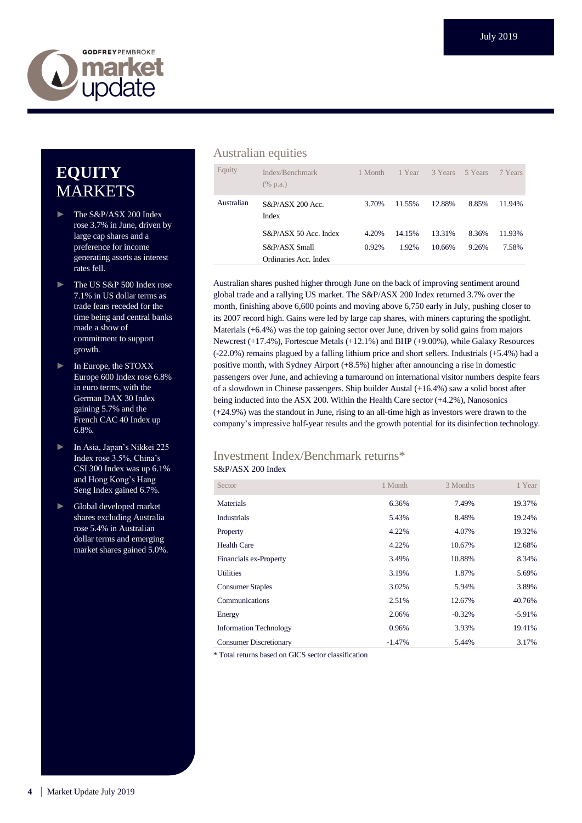

# **EQUITY** MARKETS

- ► The S&P/ASX 200 Index rose 3.7% in June, driven by large cap shares and a preference for income generating assets as interest rates fell.
- The US S&P 500 Index rose 7.1% in US dollar terms as trade fears receded for the time being and central banks made a show of commitment to support growth.
- ► In Europe, the STOXX Europe 600 Index rose 6.8% in euro terms, with the German DAX 30 Index gaining 5.7% and the French CAC 40 Index up 6.8%.
- ► In Asia, Japan's Nikkei 225 Index rose 3.5%, China's CSI 300 Index was up 6.1% and Hong Kong's Hang Seng Index gained 6.7%.
- ► Global developed market shares excluding Australia rose 5.4% in Australian dollar terms and emerging market shares gained 5.0%.

#### Australian equities

| Equity     | Index/Benchmark<br>$(\%$ p.a.)         | 1 Month        | 1 Year          | 3 Years          | 5 Years        | 7 Years         |
|------------|----------------------------------------|----------------|-----------------|------------------|----------------|-----------------|
| Australian | $S\&P/ASX$ 200 Acc.<br>Index           | 3.70%          | 11.55%          | 12.88%           | 8.85%          | 11.94%          |
|            | S&P/ASX 50 Acc. Index<br>S&P/ASX Small | 4.20%<br>0.92% | 14.15%<br>1.92% | 13.31%<br>10.66% | 8.36%<br>9.26% | 11.93%<br>7.58% |
|            | Ordinaries Acc. Index                  |                |                 |                  |                |                 |

Australian shares pushed higher through June on the back of improving sentiment around global trade and a rallying US market. The S&P/ASX 200 Index returned 3.7% over the month, finishing above 6,600 points and moving above 6,750 early in July, pushing closer to its 2007 record high. Gains were led by large cap shares, with miners capturing the spotlight. Materials (+6.4%) was the top gaining sector over June, driven by solid gains from majors Newcrest (+17.4%), Fortescue Metals (+12.1%) and BHP (+9.00%), while Galaxy Resources (-22.0%) remains plagued by a falling lithium price and short sellers. Industrials (+5.4%) had a positive month, with Sydney Airport (+8.5%) higher after announcing a rise in domestic passengers over June, and achieving a turnaround on international visitor numbers despite fears of a slowdown in Chinese passengers. Ship builder Austal (+16.4%) saw a solid boost after being inducted into the ASX 200. Within the Health Care sector (+4.2%), Nanosonics (+24.9%) was the standout in June, rising to an all-time high as investors were drawn to the company's impressive half-year results and the growth potential for its disinfection technology.

#### Investment Index/Benchmark returns\* S&P/ASX 200 Index

| Sector                        | 1 Month  | 3 Months | 1 Year    |
|-------------------------------|----------|----------|-----------|
| Materials                     | 6.36%    | 7.49%    | 19.37%    |
| <b>Industrials</b>            | 5.43%    | 8.48%    | 19.24%    |
| Property                      | 4.22%    | 4.07%    | 19.32%    |
| Health Care                   | 4.22%    | 10.67%   | 12.68%    |
| Financials ex-Property        | 3.49%    | 10.88%   | 8.34%     |
| <b>Utilities</b>              | 3.19%    | 1.87%    | 5.69%     |
| <b>Consumer Staples</b>       | 3.02%    | 5.94%    | 3.89%     |
| Communications                | 2.51%    | 12.67%   | 40.76%    |
| Energy                        | 2.06%    | $-0.32%$ | $-5.91\%$ |
| <b>Information Technology</b> | 0.96%    | 3.93%    | 19.41%    |
| <b>Consumer Discretionary</b> | $-1.47%$ | 5.44%    | 3.17%     |

\* Total returns based on GICS sector classification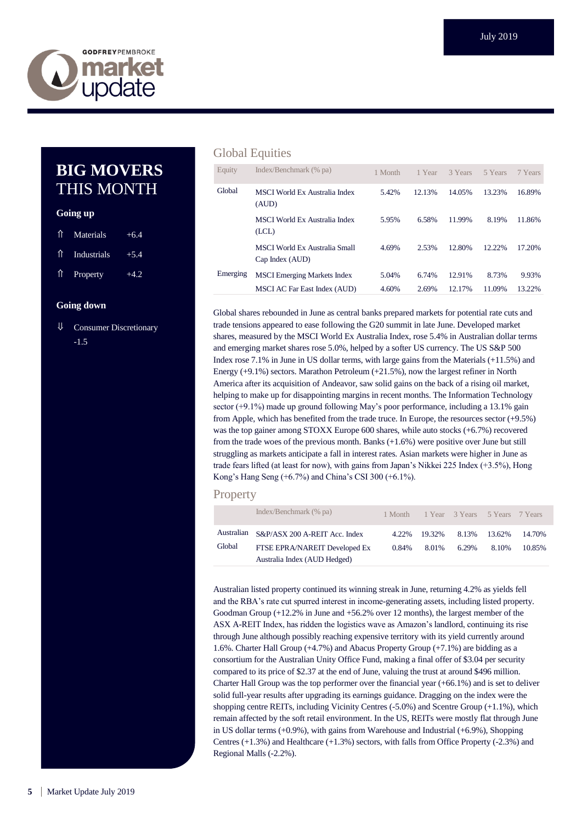

## **BIG MOVERS** THIS MONTH

#### **Going up**

| 1 Materials                | $+6.4$ |
|----------------------------|--------|
| 1 Industrials              | $+5.4$ |
| $\hat{\parallel}$ Property | $+4.2$ |

#### **Going down**

⇓ Consumer Discretionary -1.5

#### Global Equities

| Equity   | Index/Benchmark (% pa)                                  | 1 Month | 1 Year | 3 Years | 5 Years | 7 Years |
|----------|---------------------------------------------------------|---------|--------|---------|---------|---------|
| Global   | <b>MSCI</b> World Ex Australia Index<br>(AUD)           | 5.42%   | 12.13% | 14.05%  | 13.23%  | 16.89%  |
|          | <b>MSCI</b> World Ex Australia Index<br>(LCL)           | 5.95%   | 6.58%  | 11.99%  | 8.19%   | 11.86%  |
|          | <b>MSCI World Ex Australia Small</b><br>Cap Index (AUD) | 4.69%   | 2.53%  | 12.80%  | 12.22%  | 17.20%  |
| Emerging | <b>MSCI</b> Emerging Markets Index                      | 5.04%   | 6.74%  | 12.91%  | 8.73%   | 9.93%   |
|          | <b>MSCI AC Far East Index (AUD)</b>                     | 4.60%   | 2.69%  | 12.17%  | 11.09%  | 13.22%  |

Global shares rebounded in June as central banks prepared markets for potential rate cuts and trade tensions appeared to ease following the G20 summit in late June. Developed market shares, measured by the MSCI World Ex Australia Index, rose 5.4% in Australian dollar terms and emerging market shares rose 5.0%, helped by a softer US currency. The US S&P 500 Index rose 7.1% in June in US dollar terms, with large gains from the Materials (+11.5%) and Energy (+9.1%) sectors. Marathon Petroleum (+21.5%), now the largest refiner in North America after its acquisition of Andeavor, saw solid gains on the back of a rising oil market, helping to make up for disappointing margins in recent months. The Information Technology sector (+9.1%) made up ground following May's poor performance, including a 13.1% gain from Apple, which has benefited from the trade truce. In Europe, the resources sector (+9.5%) was the top gainer among STOXX Europe 600 shares, while auto stocks (+6.7%) recovered from the trade woes of the previous month. Banks (+1.6%) were positive over June but still struggling as markets anticipate a fall in interest rates. Asian markets were higher in June as trade fears lifted (at least for now), with gains from Japan's Nikkei 225 Index (+3.5%), Hong Kong's Hang Seng (+6.7%) and China's CSI 300 (+6.1%).

#### **Property**

|        | Index/Benchmark (% pa)                   | 1 Month |        | 1 Year 3 Years 5 Years 7 Years |        |        |
|--------|------------------------------------------|---------|--------|--------------------------------|--------|--------|
|        | Australian S&P/ASX 200 A-REIT Acc. Index | 4.22%   | 19.32% | 8.13%                          | 13.62% | 14.70% |
| Global | FTSE EPRA/NAREIT Developed Ex            | 0.84%   | 8.01%  | 6.29%                          | 8.10%  | 10.85% |
|        | Australia Index (AUD Hedged)             |         |        |                                |        |        |

Australian listed property continued its winning streak in June, returning 4.2% as yields fell and the RBA's rate cut spurred interest in income-generating assets, including listed property. Goodman Group (+12.2% in June and +56.2% over 12 months), the largest member of the ASX A-REIT Index, has ridden the logistics wave as Amazon's landlord, continuing its rise through June although possibly reaching expensive territory with its yield currently around 1.6%. Charter Hall Group (+4.7%) and Abacus Property Group (+7.1%) are bidding as a consortium for the Australian Unity Office Fund, making a final offer of \$3.04 per security compared to its price of \$2.37 at the end of June, valuing the trust at around \$496 million. Charter Hall Group was the top performer over the financial year (+66.1%) and is set to deliver solid full-year results after upgrading its earnings guidance. Dragging on the index were the shopping centre REITs, including Vicinity Centres (-5.0%) and Scentre Group (+1.1%), which remain affected by the soft retail environment. In the US, REITs were mostly flat through June in US dollar terms (+0.9%), with gains from Warehouse and Industrial (+6.9%), Shopping Centres (+1.3%) and Healthcare (+1.3%) sectors, with falls from Office Property (-2.3%) and Regional Malls (-2.2%).